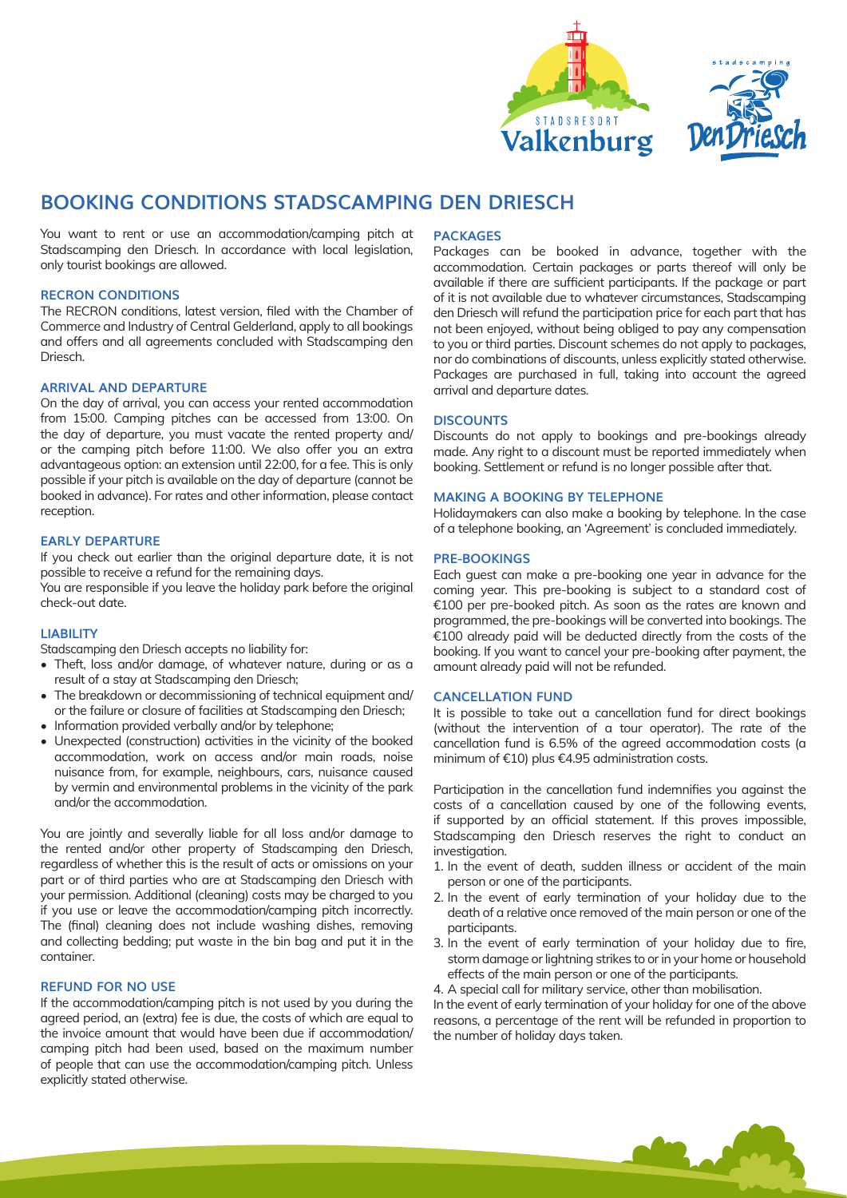



# **BOOKING CONDITIONS STADSCAMPING DEN DRIESCH**

You want to rent or use an accommodation/camping pitch at Stadscamping den Driesch. In accordance with local legislation, only tourist bookings are allowed.

## **RECRON CONDITIONS**

The RECRON conditions, latest version, filed with the Chamber of Commerce and Industry of Central Gelderland, apply to all bookings and offers and all agreements concluded with Stadscamping den Driesch.

## **ARRIVAL AND DEPARTURE**

On the day of arrival, you can access your rented accommodation from 15:00. Camping pitches can be accessed from 13:00. On the day of departure, you must vacate the rented property and/ or the camping pitch before 11:00. We also offer you an extra advantageous option: an extension until 22:00, for a fee. This is only possible if your pitch is available on the day of departure (cannot be booked in advance). For rates and other information, please contact reception.

## **EARLY DEPARTURE**

If you check out earlier than the original departure date, it is not possible to receive a refund for the remaining days.

You are responsible if you leave the holiday park before the original check-out date.

## **LIABILITY**

Stadscamping den Driesch accepts no liability for:

- Theft, loss and/or damage, of whatever nature, during or as a result of a stay at Stadscamping den Driesch;
- The breakdown or decommissioning of technical equipment and/ or the failure or closure of facilities at Stadscamping den Driesch;
- Information provided verbally and/or by telephone;
- Unexpected (construction) activities in the vicinity of the booked accommodation, work on access and/or main roads, noise nuisance from, for example, neighbours, cars, nuisance caused by vermin and environmental problems in the vicinity of the park and/or the accommodation.

You are jointly and severally liable for all loss and/or damage to the rented and/or other property of Stadscamping den Driesch, regardless of whether this is the result of acts or omissions on your part or of third parties who are at Stadscamping den Driesch with your permission. Additional (cleaning) costs may be charged to you if you use or leave the accommodation/camping pitch incorrectly. The (final) cleaning does not include washing dishes, removing and collecting bedding; put waste in the bin bag and put it in the container.

# **REFUND FOR NO USE**

If the accommodation/camping pitch is not used by you during the agreed period, an (extra) fee is due, the costs of which are equal to the invoice amount that would have been due if accommodation/ camping pitch had been used, based on the maximum number of people that can use the accommodation/camping pitch. Unless explicitly stated otherwise.

#### **PACKAGES**

Packages can be booked in advance, together with the accommodation. Certain packages or parts thereof will only be available if there are sufficient participants. If the package or part of it is not available due to whatever circumstances, Stadscamping den Driesch will refund the participation price for each part that has not been enjoyed, without being obliged to pay any compensation to you or third parties. Discount schemes do not apply to packages, nor do combinations of discounts, unless explicitly stated otherwise. Packages are purchased in full, taking into account the agreed arrival and departure dates.

## **DISCOUNTS**

Discounts do not apply to bookings and pre-bookings already made. Any right to a discount must be reported immediately when booking. Settlement or refund is no longer possible after that.

#### **MAKING A BOOKING BY TELEPHONE**

Holidaymakers can also make a booking by telephone. In the case of a telephone booking, an 'Agreement' is concluded immediately.

#### **PRE-BOOKINGS**

Each guest can make a pre-booking one year in advance for the coming year. This pre-booking is subject to a standard cost of €100 per pre-booked pitch. As soon as the rates are known and programmed, the pre-bookings will be converted into bookings. The €100 already paid will be deducted directly from the costs of the booking. If you want to cancel your pre-booking after payment, the amount already paid will not be refunded.

#### **CANCELLATION FUND**

It is possible to take out a cancellation fund for direct bookings (without the intervention of a tour operator). The rate of the cancellation fund is 6.5% of the agreed accommodation costs (a minimum of €10) plus €4.95 administration costs.

Participation in the cancellation fund indemnifies you against the costs of a cancellation caused by one of the following events, if supported by an official statement. If this proves impossible, Stadscamping den Driesch reserves the right to conduct an investigation.

- 1. In the event of death, sudden illness or accident of the main person or one of the participants.
- 2. In the event of early termination of your holiday due to the death of a relative once removed of the main person or one of the participants.
- 3. In the event of early termination of your holiday due to fire, storm damage or lightning strikes to or in your home or household effects of the main person or one of the participants.
- 4. A special call for military service, other than mobilisation.

In the event of early termination of your holiday for one of the above reasons, a percentage of the rent will be refunded in proportion to the number of holiday days taken.

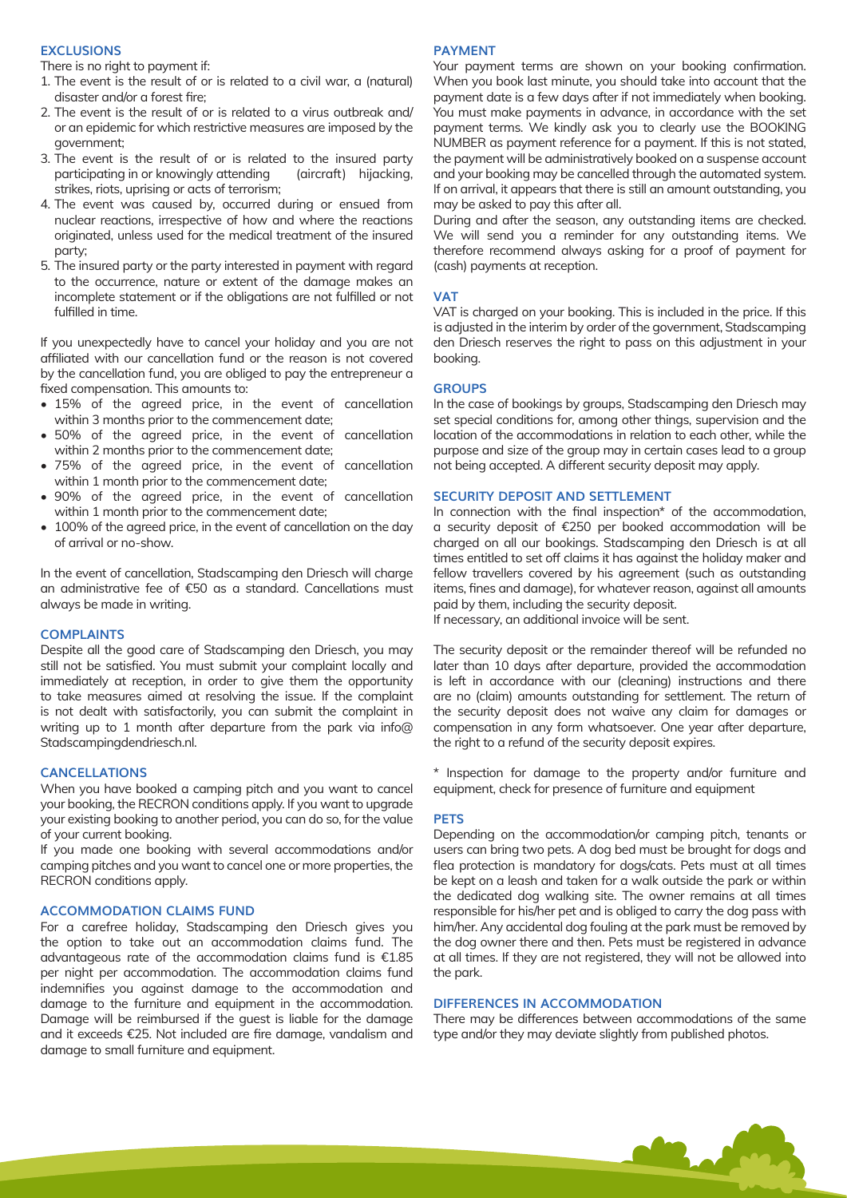# **EXCLUSIONS**

There is no right to payment if:

- 1. The event is the result of or is related to a civil war, a (natural) disaster and/or a forest fire;
- 2. The event is the result of or is related to a virus outbreak and/ or an epidemic for which restrictive measures are imposed by the government;
- 3. The event is the result of or is related to the insured party participating in or knowingly attending (aircraft) hijacking, strikes, riots, uprising or acts of terrorism;
- 4. The event was caused by, occurred during or ensued from nuclear reactions, irrespective of how and where the reactions originated, unless used for the medical treatment of the insured party;
- 5. The insured party or the party interested in payment with regard to the occurrence, nature or extent of the damage makes an incomplete statement or if the obligations are not fulfilled or not fulfilled in time.

If you unexpectedly have to cancel your holiday and you are not affiliated with our cancellation fund or the reason is not covered by the cancellation fund, you are obliged to pay the entrepreneur a fixed compensation. This amounts to:

- 15% of the agreed price, in the event of cancellation within 3 months prior to the commencement date;
- 50% of the agreed price, in the event of cancellation within 2 months prior to the commencement date;
- 75% of the agreed price, in the event of cancellation within 1 month prior to the commencement date;
- 90% of the agreed price, in the event of cancellation within 1 month prior to the commencement date;
- 100% of the agreed price, in the event of cancellation on the day of arrival or no-show.

In the event of cancellation, Stadscamping den Driesch will charge an administrative fee of €50 as a standard. Cancellations must always be made in writing.

#### **COMPLAINTS**

Despite all the good care of Stadscamping den Driesch, you may still not be satisfied. You must submit your complaint locally and immediately at reception, in order to give them the opportunity to take measures aimed at resolving the issue. If the complaint is not dealt with satisfactorily, you can submit the complaint in writing up to 1 month after departure from the park via info@ Stadscampingdendriesch.nl.

#### **CANCELLATIONS**

When you have booked a camping pitch and you want to cancel your booking, the RECRON conditions apply. If you want to upgrade your existing booking to another period, you can do so, for the value of your current booking.

If you made one booking with several accommodations and/or camping pitches and you want to cancel one or more properties, the RECRON conditions apply.

## **ACCOMMODATION CLAIMS FUND**

For a carefree holiday, Stadscamping den Driesch gives you the option to take out an accommodation claims fund. The advantageous rate of the accommodation claims fund is €1.85 per night per accommodation. The accommodation claims fund indemnifies you against damage to the accommodation and damage to the furniture and equipment in the accommodation. Damage will be reimbursed if the guest is liable for the damage and it exceeds €25. Not included are fire damage, vandalism and damage to small furniture and equipment.

#### **PAYMENT**

Your payment terms are shown on your booking confirmation. When you book last minute, you should take into account that the payment date is a few days after if not immediately when booking. You must make payments in advance, in accordance with the set payment terms. We kindly ask you to clearly use the BOOKING NUMBER as payment reference for a payment. If this is not stated, the payment will be administratively booked on a suspense account and your booking may be cancelled through the automated system. If on arrival, it appears that there is still an amount outstanding, you may be asked to pay this after all.

During and after the season, any outstanding items are checked. We will send you a reminder for any outstanding items. We therefore recommend always asking for a proof of payment for (cash) payments at reception.

#### **VAT**

VAT is charged on your booking. This is included in the price. If this is adjusted in the interim by order of the government, Stadscamping den Driesch reserves the right to pass on this adjustment in your booking.

#### **GROUPS**

In the case of bookings by groups, Stadscamping den Driesch may set special conditions for, among other things, supervision and the location of the accommodations in relation to each other, while the purpose and size of the group may in certain cases lead to a group not being accepted. A different security deposit may apply.

#### **SECURITY DEPOSIT AND SETTLEMENT**

In connection with the final inspection\* of the accommodation, a security deposit of €250 per booked accommodation will be charged on all our bookings. Stadscamping den Driesch is at all times entitled to set off claims it has against the holiday maker and fellow travellers covered by his agreement (such as outstanding items, fines and damage), for whatever reason, against all amounts paid by them, including the security deposit. If necessary, an additional invoice will be sent.

The security deposit or the remainder thereof will be refunded no later than 10 days after departure, provided the accommodation

is left in accordance with our (cleaning) instructions and there are no (claim) amounts outstanding for settlement. The return of the security deposit does not waive any claim for damages or compensation in any form whatsoever. One year after departure, the right to a refund of the security deposit expires.

\* Inspection for damage to the property and/or furniture and equipment, check for presence of furniture and equipment

#### **PETS**

Depending on the accommodation/or camping pitch, tenants or users can bring two pets. A dog bed must be brought for dogs and flea protection is mandatory for dogs/cats. Pets must at all times be kept on a leash and taken for a walk outside the park or within the dedicated dog walking site. The owner remains at all times responsible for his/her pet and is obliged to carry the dog pass with him/her. Any accidental dog fouling at the park must be removed by the dog owner there and then. Pets must be registered in advance at all times. If they are not registered, they will not be allowed into the park.

# **DIFFERENCES IN ACCOMMODATION**

There may be differences between accommodations of the same type and/or they may deviate slightly from published photos.